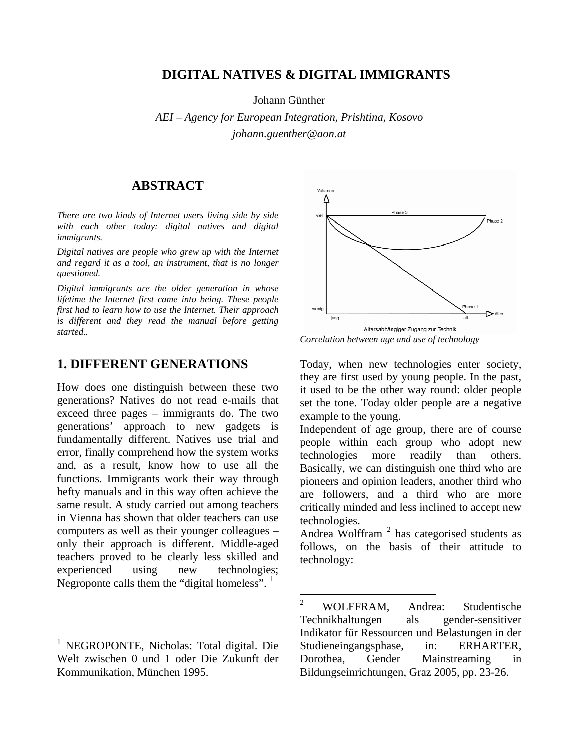## **DIGITAL NATIVES & DIGITAL IMMIGRANTS**

Johann Günther

*AEI – Agency for European Integration, Prishtina, Kosovo johann.guenther@aon.at* 

### **ABSTRACT**

*There are two kinds of Internet users living side by side with each other today: digital natives and digital immigrants.* 

*Digital natives are people who grew up with the Internet and regard it as a tool, an instrument, that is no longer questioned.* 

*Digital immigrants are the older generation in whose lifetime the Internet first came into being. These people first had to learn how to use the Internet. Their approach is different and they read the manual before getting started..* 

## **1. DIFFERENT GENERATIONS** Today, when new technologies enter society,

How does one distinguish between these two generations? Natives do not read e-mails that exceed three pages – immigrants do. The two generations' approach to new gadgets is fundamentally different. Natives use trial and error, finally comprehend how the system works and, as a result, know how to use all the functions. Immigrants work their way through hefty manuals and in this way often achieve the same result. A study carried out among teachers in Vienna has shown that older teachers can use computers as well as their younger colleagues – only their approach is different. Middle-aged teachers proved to be clearly less skilled and experienced using new technologies; Negroponte calls them the "digital homeless". <sup>[1](#page-0-0)</sup>

<span id="page-0-1"></span> $\overline{a}$ 



*Correlation between age and use of technology* 

they are first used by young people. In the past, it used to be the other way round: older people set the tone. Today older people are a negative example to the young.

Independent of age group, there are of course people within each group who adopt new technologies more readily than others. Basically, we can distinguish one third who are pioneers and opinion leaders, another third who are followers, and a third who are more critically minded and less inclined to accept new technologies.

Andrea Wolffram  $2$  has categorised students as follows, on the basis of their attitude to technology:

<span id="page-0-0"></span><sup>1</sup> NEGROPONTE, Nicholas: Total digital. Die Welt zwischen 0 und 1 oder Die Zukunft der Kommunikation, München 1995.

 $\frac{1}{2}$  WOLFFRAM, Andrea: Studentische Technikhaltungen als gender-sensitiver Indikator für Ressourcen und Belastungen in der Studieneingangsphase, in: ERHARTER, Dorothea, Gender Mainstreaming in Bildungseinrichtungen, Graz 2005, pp. 23-26.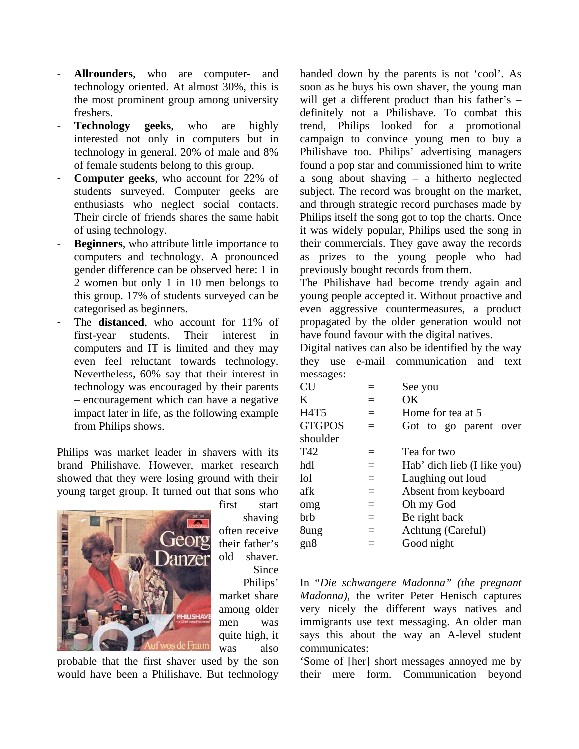- **Allrounders**, who are computer- and technology oriented. At almost 30%, this is the most prominent group among university freshers.
- **Technology geeks**, who are highly interested not only in computers but in technology in general. 20% of male and 8% of female students belong to this group.
- **Computer geeks**, who account for 22% of students surveyed. Computer geeks are enthusiasts who neglect social contacts. Their circle of friends shares the same habit of using technology.
- **Beginners**, who attribute little importance to computers and technology. A pronounced gender difference can be observed here: 1 in 2 women but only 1 in 10 men belongs to this group. 17% of students surveyed can be categorised as beginners.
- The **distanced**, who account for 11% of first-year students. Their interest in computers and IT is limited and they may even feel reluctant towards technology. Nevertheless, 60% say that their interest in technology was encouraged by their parents – encouragement which can have a negative impact later in life, as the following example from Philips shows.

Philips was market leader in shavers with its brand Philishave. However, market research showed that they were losing ground with their young target group. It turned out that sons who



shaving their father's old shaver. Since Philips' market share among older men was quite high, it was also

probable that the first shaver used by the son would have been a Philishave. But technology handed down by the parents is not 'cool'. As soon as he buys his own shaver, the young man will get a different product than his father's – definitely not a Philishave. To combat this trend, Philips looked for a promotional campaign to convince young men to buy a Philishave too. Philips' advertising managers found a pop star and commissioned him to write a song about shaving – a hitherto neglected subject. The record was brought on the market, and through strategic record purchases made by Philips itself the song got to top the charts. Once it was widely popular, Philips used the song in their commercials. They gave away the records as prizes to the young people who had previously bought records from them.

The Philishave had become trendy again and young people accepted it. Without proactive and even aggressive countermeasures, a product propagated by the older generation would not have found favour with the digital natives.

Digital natives can also be identified by the way they use e-mail communication and text messages:

| their parents  | CU            |     | See you                     |  |
|----------------|---------------|-----|-----------------------------|--|
| ve a negative  | K             | $=$ | OK                          |  |
| ving example   | <b>H4T5</b>   | $=$ | Home for tea at 5           |  |
|                | <b>GTGPOS</b> | $=$ | Got to go parent over       |  |
|                | shoulder      |     |                             |  |
| vers with its  | T42           |     | Tea for two                 |  |
| ket research   | hdl           | $=$ | Hab' dich lieb (I like you) |  |
| nd with their  | lol           | $=$ | Laughing out loud           |  |
| hat sons who   | afk           | $=$ | Absent from keyboard        |  |
| first<br>start | omg           | $=$ | Oh my God                   |  |
| shaving        | brb           | $=$ | Be right back               |  |
| often receive  | 8ung          | $=$ | Achtung (Careful)           |  |
| their father's | gn8           |     | Good night                  |  |
|                |               |     |                             |  |

In "*Die schwangere Madonna" (the pregnant Madonna)*, the writer Peter Henisch captures very nicely the different ways natives and immigrants use text messaging. An older man says this about the way an A-level student communicates:

'Some of [her] short messages annoyed me by their mere form. Communication beyond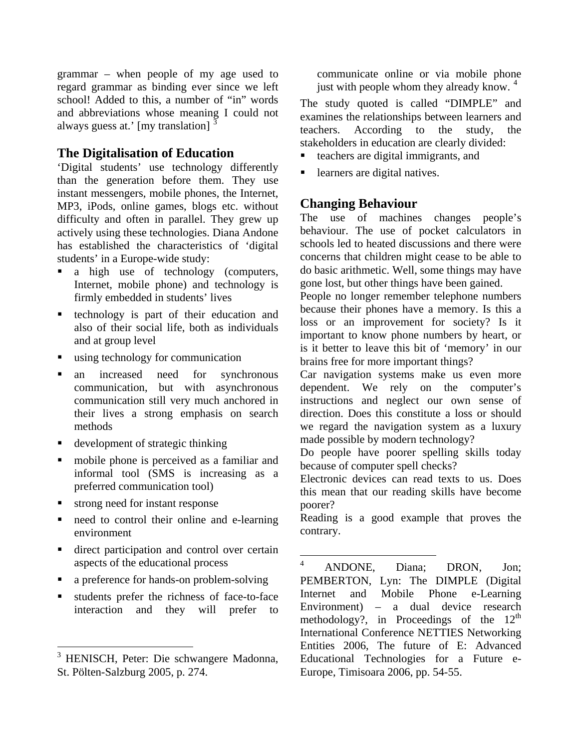grammar – when people of my age used to regard grammar as binding ever since we left school! Added to this, a number of "in" words and abbreviations whose meaning I could not always guess at.' [my translation]

## **The Digitalisation of Education**

'Digital students' use technology differently than the generation before them. They use instant messengers, mobile phones, the Internet, MP3, iPods, online games, blogs etc. without difficulty and often in parallel. They grew up actively using these technologies. Diana Andone has established the characteristics of 'digital students' in a Europe-wide study:

- a high use of technology (computers, Internet, mobile phone) and technology is firmly embedded in students' lives
- technology is part of their education and also of their social life, both as individuals and at group level
- using technology for communication
- an increased need for synchronous communication, but with asynchronous communication still very much anchored in their lives a strong emphasis on search methods
- development of strategic thinking
- mobile phone is perceived as a familiar and informal tool (SMS is increasing as a preferred communication tool)
- strong need for instant response

 $\overline{a}$ 

- need to control their online and e-learning environment
- direct participation and control over certain aspects of the educational process
- <span id="page-2-1"></span>• a preference for hands-on problem-solving
- students prefer the richness of face-to-face interaction and they will prefer to

communicate online or via mobile phone just with people whom they already know. <sup>[4](#page-2-1)</sup>

The study quoted is called "DIMPLE" and examines the relationships between learners and teachers. According to the study, the stakeholders in education are clearly divided:

- teachers are digital immigrants, and
- learners are digital natives.

# **Changing Behaviour**

The use of machines changes people's behaviour. The use of pocket calculators in schools led to heated discussions and there were concerns that children might cease to be able to do basic arithmetic. Well, some things may have gone lost, but other things have been gained.

People no longer remember telephone numbers because their phones have a memory. Is this a loss or an improvement for society? Is it important to know phone numbers by heart, or is it better to leave this bit of 'memory' in our brains free for more important things?

Car navigation systems make us even more dependent. We rely on the computer's instructions and neglect our own sense of direction. Does this constitute a loss or should we regard the navigation system as a luxury made possible by modern technology?

Do people have poorer spelling skills today because of computer spell checks?

Electronic devices can read texts to us. Does this mean that our reading skills have become poorer?

Reading is a good example that proves the contrary.

 $\frac{1}{4}$  ANDONE, Diana; DRON, Jon; PEMBERTON, Lyn: The DIMPLE (Digital Internet and Mobile Phone e-Learning Environment) – a dual device research methodology?, in Proceedings of the  $12<sup>th</sup>$ International Conference NETTIES Networking Entities 2006, The future of E: Advanced Educational Technologies for a Future e-Europe, Timisoara 2006, pp. 54-55.

<span id="page-2-0"></span><sup>3</sup> HENISCH, Peter: Die schwangere Madonna, St. Pölten-Salzburg 2005, p. 274.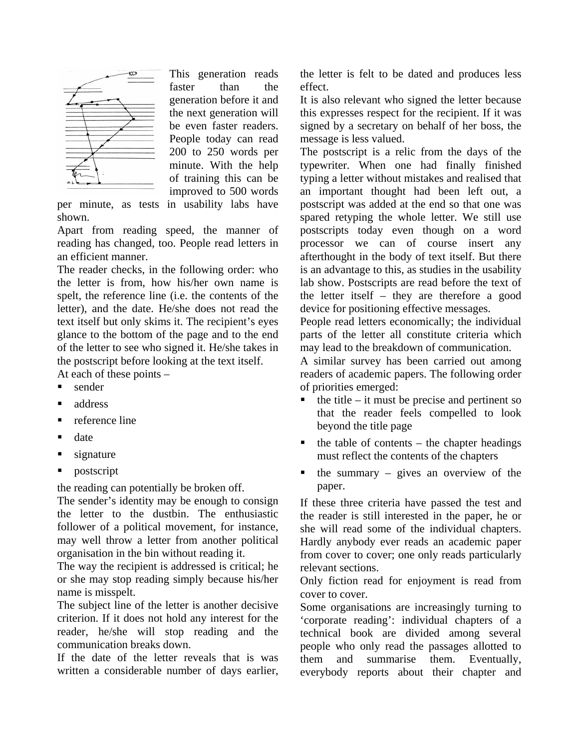

This generation reads faster than the generation before it and the next generation will be even faster readers. People today can read 200 to 250 words per minute. With the help of training this can be improved to 500 words

per minute, as tests in usability labs have shown.

Apart from reading speed, the manner of reading has changed, too. People read letters in an efficient manner.

The reader checks, in the following order: who the letter is from, how his/her own name is spelt, the reference line (i.e. the contents of the letter), and the date. He/she does not read the text itself but only skims it. The recipient's eyes glance to the bottom of the page and to the end of the letter to see who signed it. He/she takes in the postscript before looking at the text itself.

At each of these points –

- sender
- address
- **•** reference line
- $\blacksquare$  date
- $\blacksquare$  signature
- **postscript**

the reading can potentially be broken off.

The sender's identity may be enough to consign the letter to the dustbin. The enthusiastic follower of a political movement, for instance, may well throw a letter from another political organisation in the bin without reading it.

The way the recipient is addressed is critical; he or she may stop reading simply because his/her name is misspelt.

The subject line of the letter is another decisive criterion. If it does not hold any interest for the reader, he/she will stop reading and the communication breaks down.

If the date of the letter reveals that is was written a considerable number of days earlier, the letter is felt to be dated and produces less effect.

It is also relevant who signed the letter because this expresses respect for the recipient. If it was signed by a secretary on behalf of her boss, the message is less valued.

The postscript is a relic from the days of the typewriter. When one had finally finished typing a letter without mistakes and realised that an important thought had been left out, a postscript was added at the end so that one was spared retyping the whole letter. We still use postscripts today even though on a word processor we can of course insert any afterthought in the body of text itself. But there is an advantage to this, as studies in the usability lab show. Postscripts are read before the text of the letter itself – they are therefore a good device for positioning effective messages.

People read letters economically; the individual parts of the letter all constitute criteria which may lead to the breakdown of communication.

A similar survey has been carried out among readers of academic papers. The following order of priorities emerged:

- the title it must be precise and pertinent so that the reader feels compelled to look beyond the title page
- the table of contents the chapter headings must reflect the contents of the chapters
- the summary gives an overview of the paper.

If these three criteria have passed the test and the reader is still interested in the paper, he or she will read some of the individual chapters. Hardly anybody ever reads an academic paper from cover to cover; one only reads particularly relevant sections.

Only fiction read for enjoyment is read from cover to cover.

Some organisations are increasingly turning to 'corporate reading': individual chapters of a technical book are divided among several people who only read the passages allotted to them and summarise them. Eventually, everybody reports about their chapter and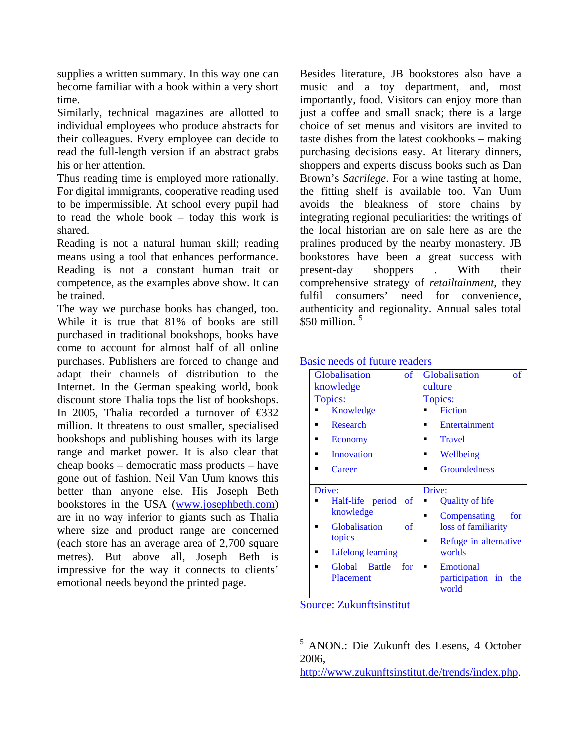supplies a written summary. In this way one can become familiar with a book within a very short time.

Similarly, technical magazines are allotted to individual employees who produce abstracts for their colleagues. Every employee can decide to read the full-length version if an abstract grabs his or her attention.

Thus reading time is employed more rationally. For digital immigrants, cooperative reading used to be impermissible. At school every pupil had to read the whole book – today this work is shared.

Reading is not a natural human skill; reading means using a tool that enhances performance. Reading is not a constant human trait or competence, as the examples above show. It can be trained.

The way we purchase books has changed, too. While it is true that 81% of books are still purchased in traditional bookshops, books have come to account for almost half of all online purchases. Publishers are forced to change and adapt their channels of distribution to the Internet. In the German speaking world, book discount store Thalia tops the list of bookshops. In 2005, Thalia recorded a turnover of  $\epsilon$ 32 million. It threatens to oust smaller, specialised bookshops and publishing houses with its large range and market power. It is also clear that cheap books – democratic mass products – have gone out of fashion. Neil Van Uum knows this better than anyone else. His Joseph Beth bookstores in the USA  $(\underline{www.josephbeth.com})$  $(\underline{www.josephbeth.com})$  $(\underline{www.josephbeth.com})$  Half-life period of Quality of life  $\overline{0}$ are in no way inferior to giants such as Thalia where size and product range are concerned (each store has an average area of 2,700 square metres). But above all, Joseph Beth is impressive for the way it connects to clients' emotional needs beyond the printed page.

Besides literature, JB bookstores also have a music and a toy department, and, most importantly, food. Visitors can enjoy more than just a coffee and small snack; there is a large choice of set menus and visitors are invited to taste dishes from the latest cookbooks – making purchasing decisions easy. At literary dinners, shoppers and experts discuss books such as Dan Brown's *Sacrilege*. For a wine tasting at home, the fitting shelf is available too. Van Uum avoids the bleakness of store chains by integrating regional peculiarities: the writings of the local historian are on sale here as are the pralines produced by the nearby monastery. JB bookstores have been a great success with present-day shoppers . With their comprehensive strategy of *retailtainment*, they fulfil consumers' need for convenience, authenticity and regionality. Annual sales total \$[5](#page-4-0)0 million.<sup>5</sup>

| Globalisation<br>of      | <b>Globalisation</b><br><sub>of</sub> |  |
|--------------------------|---------------------------------------|--|
| knowledge                | culture                               |  |
| Topics:                  | Topics:                               |  |
| Knowledge                | <b>Fiction</b>                        |  |
| Research<br>▪            | Entertainment<br>▪                    |  |
| Economy<br>▪             | <b>Travel</b>                         |  |
| Innovation               | Wellbeing                             |  |
| Career                   | <b>Groundedness</b><br>■              |  |
| Drive:                   | Drive:                                |  |
|                          |                                       |  |
| Half-life period of      | Quality of life                       |  |
| knowledge                | for<br>▪                              |  |
| Globalisation<br>of      | Compensating<br>loss of familiarity   |  |
| topics                   | Refuge in alternative                 |  |
| <b>Lifelong learning</b> | worlds                                |  |

#### Basic needs of future readers

Source: Zukunftsinstitut

[http://www.zukunftsinstitut.de/trends/index.php.](http://www.zukunftsinstitut.de/trends/index.php)

<span id="page-4-0"></span> 5 ANON.: Die Zukunft des Lesens, 4 October 2006,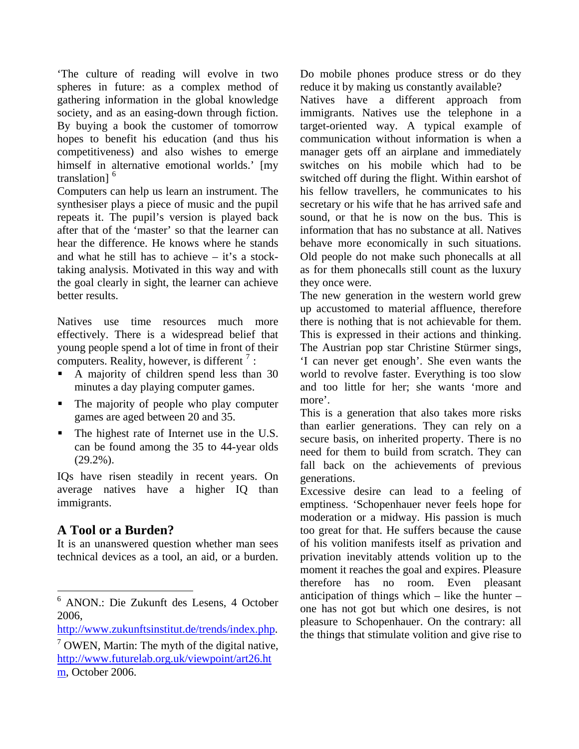'The culture of reading will evolve in two spheres in future: as a complex method of gathering information in the global knowledge society, and as an easing-down through fiction. By buying a book the customer of tomorrow hopes to benefit his education (and thus his competitiveness) and also wishes to emerge himself in alternative emotional worlds.' [my translation<sup>1[6](#page-5-0)</sup>

Computers can help us learn an instrument. The synthesiser plays a piece of music and the pupil repeats it. The pupil's version is played back after that of the 'master' so that the learner can hear the difference. He knows where he stands and what he still has to achieve  $-$  it's a stocktaking analysis. Motivated in this way and with the goal clearly in sight, the learner can achieve better results.

Natives use time resources much more effectively. There is a widespread belief that young people spend a lot of time in front of their computers. Reality, however, is different<sup>[7](#page-5-1)</sup>:

- A majority of children spend less than 30 minutes a day playing computer games.
- The majority of people who play computer games are aged between 20 and 35.
- The highest rate of Internet use in the U.S. can be found among the 35 to 44-year olds  $(29.2\%)$ .

IQs have risen steadily in recent years. On average natives have a higher IQ than immigrants.

# **A Tool or a Burden?**

 $\overline{a}$ 

It is an unanswered question whether man sees technical devices as a tool, an aid, or a burden.

Do mobile phones produce stress or do they reduce it by making us constantly available?

Natives have a different approach from immigrants. Natives use the telephone in a target-oriented way. A typical example of communication without information is when a manager gets off an airplane and immediately switches on his mobile which had to be switched off during the flight. Within earshot of his fellow travellers, he communicates to his secretary or his wife that he has arrived safe and sound, or that he is now on the bus. This is information that has no substance at all. Natives behave more economically in such situations. Old people do not make such phonecalls at all as for them phonecalls still count as the luxury they once were.

The new generation in the western world grew up accustomed to material affluence, therefore there is nothing that is not achievable for them. This is expressed in their actions and thinking. The Austrian pop star Christine Stürmer sings, 'I can never get enough'. She even wants the world to revolve faster. Everything is too slow and too little for her; she wants 'more and more'.

This is a generation that also takes more risks than earlier generations. They can rely on a secure basis, on inherited property. There is no need for them to build from scratch. They can fall back on the achievements of previous generations.

Excessive desire can lead to a feeling of emptiness. 'Schopenhauer never feels hope for moderation or a midway. His passion is much too great for that. He suffers because the cause of his volition manifests itself as privation and privation inevitably attends volition up to the moment it reaches the goal and expires. Pleasure therefore has no room. Even pleasant anticipation of things which  $-$  like the hunter  $$ one has not got but which one desires, is not pleasure to Schopenhauer. On the contrary: all the things that stimulate volition and give rise to

<span id="page-5-0"></span><sup>6</sup> ANON.: Die Zukunft des Lesens, 4 October 2006,

[http://www.zukunftsinstitut.de/trends/index.php.](http://www.zukunftsinstitut.de/trends/index.php)

<span id="page-5-1"></span> $7$  OWEN, Martin: The myth of the digital native, [http://www.futurelab.org.uk/viewpoint/art26.ht](http://www.futurelab.org.uk/viewpoint/art26.htm) [m,](http://www.futurelab.org.uk/viewpoint/art26.htm) October 2006.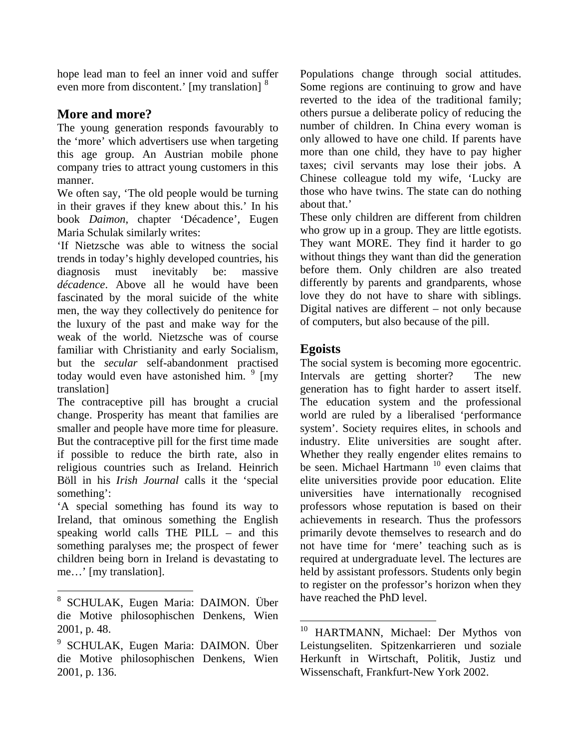hope lead man to feel an inner void and suffer even more from discontent.' [my translation] <sup>[8](#page-6-0)</sup>

# **More and more?**

The young generation responds favourably to the 'more' which advertisers use when targeting this age group. An Austrian mobile phone company tries to attract young customers in this manner.

We often say, 'The old people would be turning in their graves if they knew about this.' In his book *Daimon*, chapter 'Décadence', Eugen Maria Schulak similarly writes:

'If Nietzsche was able to witness the social trends in today's highly developed countries, his diagnosis must inevitably be: massive *décadence*. Above all he would have been fascinated by the moral suicide of the white men, the way they collectively do penitence for the luxury of the past and make way for the weak of the world. Nietzsche was of course familiar with Christianity and early Socialism, but the *secular* self-abandonment practised today would even have astonished him.  $9 \text{ [my]}$  $9 \text{ [my]}$ translation]

The contraceptive pill has brought a crucial change. Prosperity has meant that families are smaller and people have more time for pleasure. But the contraceptive pill for the first time made if possible to reduce the birth rate, also in religious countries such as Ireland. Heinrich Böll in his *Irish Journal* calls it the 'special something':

'A special something has found its way to Ireland, that ominous something the English speaking world calls THE PILL – and this something paralyses me; the prospect of fewer children being born in Ireland is devastating to me…' [my translation].

 $\overline{a}$ 

Populations change through social attitudes. Some regions are continuing to grow and have reverted to the idea of the traditional family; others pursue a deliberate policy of reducing the number of children. In China every woman is only allowed to have one child. If parents have more than one child, they have to pay higher taxes; civil servants may lose their jobs. A Chinese colleague told my wife, 'Lucky are those who have twins. The state can do nothing about that.'

These only children are different from children who grow up in a group. They are little egotists. They want MORE. They find it harder to go without things they want than did the generation before them. Only children are also treated differently by parents and grandparents, whose love they do not have to share with siblings. Digital natives are different – not only because of computers, but also because of the pill.

# **Egoists**

<u>.</u>

The social system is becoming more egocentric. Intervals are getting shorter? The new generation has to fight harder to assert itself. The education system and the professional world are ruled by a liberalised 'performance system'. Society requires elites, in schools and industry. Elite universities are sought after. Whether they really engender elites remains to be seen. Michael Hartmann<sup>[10](#page-6-2)</sup> even claims that elite universities provide poor education. Elite universities have internationally recognised professors whose reputation is based on their achievements in research. Thus the professors primarily devote themselves to research and do not have time for 'mere' teaching such as is required at undergraduate level. The lectures are held by assistant professors. Students only begin to register on the professor's horizon when they have reached the PhD level.

<span id="page-6-0"></span><sup>8</sup> SCHULAK, Eugen Maria: DAIMON. Über die Motive philosophischen Denkens, Wien 2001, p. 48.

<span id="page-6-2"></span><span id="page-6-1"></span><sup>9</sup> SCHULAK, Eugen Maria: DAIMON. Über die Motive philosophischen Denkens, Wien 2001, p. 136.

<sup>&</sup>lt;sup>10</sup> HARTMANN, Michael: Der Mythos von Leistungseliten. Spitzenkarrieren und soziale Herkunft in Wirtschaft, Politik, Justiz und Wissenschaft, Frankfurt-New York 2002.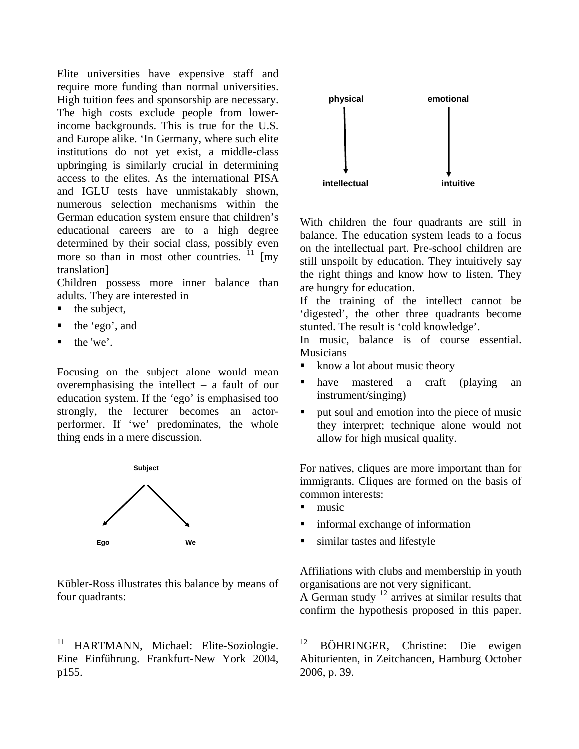Elite universities have expensive staff and require more funding than normal universities. High tuition fees and sponsorship are necessary. The high costs exclude people from lowerincome backgrounds. This is true for the U.S. and Europe alike. 'In Germany, where such elite institutions do not yet exist, a middle-class upbringing is similarly crucial in determining access to the elites. As the international PISA and IGLU tests have unmistakably shown, numerous selection mechanisms within the German education system ensure that children's educational careers are to a high degree determined by their social class, possibly even more so than in most other countries.  $\frac{11}{1}$  $\frac{11}{1}$  $\frac{11}{1}$  [my translation]

Children possess more inner balance than

- the subject,
- the 'ego', and
- 

Focusing on the subject alone would mean<br>overemphasism the intellect – a fault of our<br> $\begin{array}{ccc} \bullet & \text{have} & \text{master} & \text{right} \\ \bullet & \text{have} & \text{master} & \text{to} \\ \bullet & \text{for} & \text{other} & \text{right} \end{array}$ overemphasising the intellect – a fault of our education system. If the 'ego' is emphasised too strongly, the lecturer becomes an actorperformer. If 'we' predominates, the whole thing ends in a mere discussion.



Kübler-Ross illustrates this balance by means of four quadrants:  $\overrightarrow{A}$  German study  $\overrightarrow{P}$  arrives at similar results that



With children the four quadrants are still in balance. The education system leads to a focus on the intellectual part. Pre-school children are still unspoilt by education. They intuitively say the right things and know how to listen. They are hungry for education.

adults. They are interested in If the training of the intellect cannot be the subject. 'digested', the other three quadrants become stunted. The result is 'cold knowledge'.

In music, balance is of course essential. • the 'we'. In music,<br>Musicians Musicians

- 
- have mastered a craft (playing an instrument/singing)
- **put soul and emotion into the piece of music** they interpret; technique alone would not allow for high musical quality.

For natives, cliques are more important than for immigrants. Cliques are formed on the basis of common interests:

- $\blacksquare$  music
- informal exchange of information
- similar tastes and lifestyle

Affiliations with clubs and membership in youth organisations are not very significant.

confirm the hypothesis proposed in this paper.

<span id="page-7-0"></span><sup>&</sup>lt;sup>11</sup> HARTMANN, Michael: Elite-Soziologie.  $12$ Eine Einführung. Frankfurt-New York 2004, p155.

BÖHRINGER, Christine: Die ewigen Abiturienten, in Zeitchancen, Hamburg October 2006, p. 39.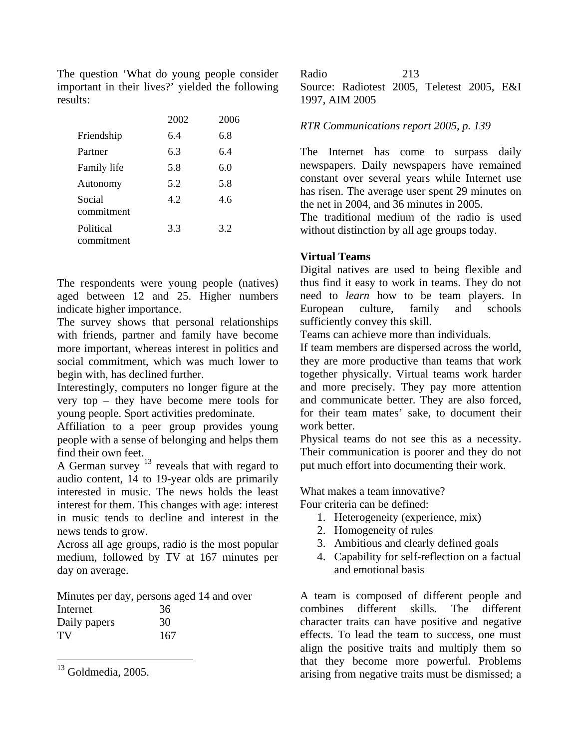The question 'What do young people consider important in their lives?' yielded the following results:

|                         | 2002 | 2006 |
|-------------------------|------|------|
| Friendship              | 6.4  | 6.8  |
| Partner                 | 6.3  | 6.4  |
| Family life             | 5.8  | 6.0  |
| Autonomy                | 5.2  | 5.8  |
| Social<br>commitment    | 42   | 4.6  |
| Political<br>commitment | 3.3  | 3.2  |

The respondents were young people (natives) aged between 12 and 25. Higher numbers indicate higher importance.

The survey shows that personal relationships with friends, partner and family have become more important, whereas interest in politics and social commitment, which was much lower to begin with, has declined further.

Interestingly, computers no longer figure at the very top – they have become mere tools for young people. Sport activities predominate.

Affiliation to a peer group provides young people with a sense of belonging and helps them find their own feet.

audio content, 14 to 19-year olds are primarily interested in music. The news holds the least interest for them. This changes with age: interest in music tends to decline and interest in the news tends to grow.

Across all age groups, radio is the most popular 3. Ambitious and clearly defined goals medium, followed by TV at 167 minutes per day on average.

Minutes per day, persons aged 14 and over Internet 36 Daily papers 30 TV 167

 $\overline{a}$ 

Radio 213 Source: Radiotest 2005, Teletest 2005, E&I 1997, AIM 2005

### <sup>2002</sup>*RTR Communications report 2005, p. 139* <sup>2006</sup>

The Internet has come to surpass daily newspapers. Daily newspapers have remained constant over several years while Internet use has risen. The average user spent 29 minutes on the net in 2004, and 36 minutes in 2005.

The traditional medium of the radio is used without distinction by all age groups today.

#### **Virtual Teams**

Digital natives are used to being flexible and thus find it easy to work in teams. They do not need to *learn* how to be team players. In European culture, family and schools European culture, family and schools sufficiently convey this skill.

Teams can achieve more than individuals.

If team members are dispersed across the world, they are more productive than teams that work together physically. Virtual teams work harder and more precisely. They pay more attention and communicate better. They are also forced, for their team mates' sake, to document their work better.

Physical teams do not see this as a necessity. Their communication is poorer and they do not A German survey  $^{13}$  $^{13}$  $^{13}$  reveals that with regard to put much effort into documenting their work.

What makes a team innovative?

Four criteria can be defined:

- 1. Heterogeneity (experience, mix)
- 2. Homogeneity of rules
- 
- 4. Capability for self-reflection on a factual and emotional basis

A team is composed of different people and combines different skills. The different character traits can have positive and negative effects. To lead the team to success, one must align the positive traits and multiply them so that they become more powerful. Problems arising from negative traits must be dismissed; a

<span id="page-8-0"></span> $13$  Goldmedia, 2005.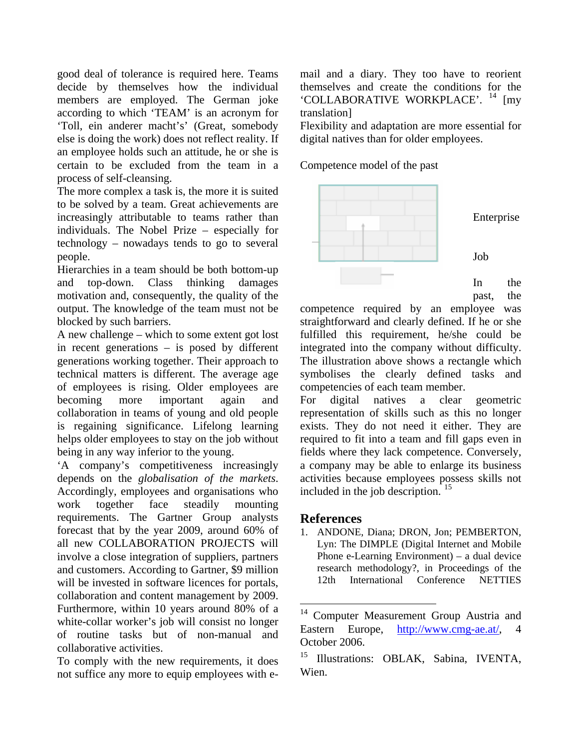good deal of tolerance is required here. Teams decide by themselves how the individual members are employed. The German joke according to which 'TEAM' is an acronym for 'Toll, ein anderer macht's' (Great, somebody else is doing the work) does not reflect reality. If an employee holds such an attitude, he or she is certain to be excluded from the team in a process of self-cleansing.

The more complex a task is, the more it is suited to be solved by a team. Great achievements are increasingly attributable to teams rather than individuals. The Nobel Prize – especially for technology – nowadays tends to go to several people.

Hierarchies in a team should be both bottom-up and top-down. Class thinking damages motivation and, consequently, the quality of the output. The knowledge of the team must not be blocked by such barriers.

A new challenge – which to some extent got lost in recent generations – is posed by different generations working together. Their approach to technical matters is different. The average age of employees is rising. Older employees are becoming more important again and collaboration in teams of young and old people is regaining significance. Lifelong learning helps older employees to stay on the job without being in any way inferior to the young.

'A company's competitiveness increasingly depends on the *globalisation of the markets*. Accordingly, employees and organisations who work together face steadily mounting requirements. The Gartner Group analysts forecast that by the year 2009, around 60% of all new COLLABORATION PROJECTS will involve a close integration of suppliers, partners and customers. According to Gartner, \$9 million will be invested in software licences for portals, collaboration and content management by 2009. Furthermore, within 10 years around 80% of a white-collar worker's job will consist no longer of routine tasks but of non-manual and collaborative activities.

<span id="page-9-1"></span><span id="page-9-0"></span>To comply with the new requirements, it does not suffice any more to equip employees with email and a diary. They too have to reorient themselves and create the conditions for the 'COLLABORATIVE WORKPLACE'. <sup>[14](#page-9-0)</sup> Imv translation]

Flexibility and adaptation are more essential for digital natives than for older employees.

Competence model of the past



past, the

competence required by an employee was straightforward and clearly defined. If he or she fulfilled this requirement, he/she could be integrated into the company without difficulty. The illustration above shows a rectangle which symbolises the clearly defined tasks and competencies of each team member.

For digital natives a clear geometric representation of skills such as this no longer exists. They do not need it either. They are required to fit into a team and fill gaps even in fields where they lack competence. Conversely, a company may be able to enlarge its business activities because employees possess skills not included in the job description. [15](#page-9-1)

## **References**

1

1. ANDONE, Diana; DRON, Jon; PEMBERTON, Lyn: The DIMPLE (Digital Internet and Mobile Phone e-Learning Environment) – a dual device research methodology?, in Proceedings of the 12th International Conference NETTIES

<sup>&</sup>lt;sup>14</sup> Computer Measurement Group Austria and Eastern Europe, [http://www.cmg-ae.at/,](http://www.cmg-ae.at/) October 2006.

<sup>&</sup>lt;sup>15</sup> Illustrations: OBLAK, Sabina, IVENTA, Wien.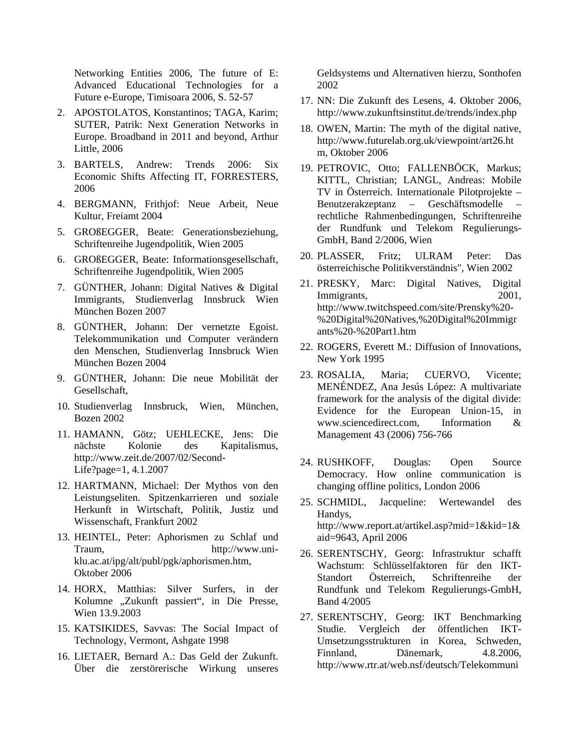Networking Entities 2006, The future of E: Advanced Educational Technologies for a Future e-Europe, Timisoara 2006, S. 52-57

- 2. APOSTOLATOS, Konstantinos; TAGA, Karim; SUTER, Patrik: Next Generation Networks in Europe. Broadband in 2011 and beyond, Arthur Little, 2006
- 3. BARTELS, Andrew: Trends 2006: Six Economic Shifts Affecting IT, FORRESTERS, 2006
- 4. BERGMANN, Frithjof: Neue Arbeit, Neue Kultur, Freiamt 2004
- 5. GROßEGGER, Beate: Generationsbeziehung, Schriftenreihe Jugendpolitik, Wien 2005
- 6. GROßEGGER, Beate: Informationsgesellschaft, Schriftenreihe Jugendpolitik, Wien 2005
- 7. GÜNTHER, Johann: Digital Natives & Digital Immigrants, Studienverlag Innsbruck Wien München Bozen 2007
- 8. GÜNTHER, Johann: Der vernetzte Egoist. Telekommunikation und Computer verändern den Menschen, Studienverlag Innsbruck Wien München Bozen 2004
- 9. GÜNTHER, Johann: Die neue Mobilität der Gesellschaft,
- 10. Studienverlag Innsbruck, Wien, München, Bozen 2002
- 11. HAMANN, Götz; UEHLECKE, Jens: Die nächste Kolonie des Kapitalismus, [http://www.zeit.de/2007/02/Second-](http://www.zeit.de/2007/02/Second-Life?page=1)[Life?page=1](http://www.zeit.de/2007/02/Second-Life?page=1), 4.1.2007
- 12. HARTMANN, Michael: Der Mythos von den Leistungseliten. Spitzenkarrieren und soziale Herkunft in Wirtschaft, Politik, Justiz und Wissenschaft, Frankfurt 2002
- 13. HEINTEL, Peter: Aphorismen zu Schlaf und Traum, http://www.uniklu.ac.at/ipg/alt/publ/pgk/aphorismen.htm, Oktober 2006
- 14. HORX, Matthias: Silver Surfers, in der Kolumne "Zukunft passiert", in Die Presse, Wien 13.9.2003
- 15. KATSIKIDES, Savvas: The Social Impact of Technology, Vermont, Ashgate 1998
- 16. LIETAER, Bernard A.: Das Geld der Zukunft. Über die zerstörerische Wirkung unseres

Geldsystems und Alternativen hierzu, Sonthofen 2002

- 17. NN: Die Zukunft des Lesens, 4. Oktober 2006, <http://www.zukunftsinstitut.de/trends/index.php>
- 18. OWEN, Martin: The myth of the digital native, [http://www.futurelab.org.uk/viewpoint/art26.ht](http://www.futurelab.org.uk/viewpoint/art26.htm) [m](http://www.futurelab.org.uk/viewpoint/art26.htm), Oktober 2006
- 19. PETROVIC, Otto; FALLENBÖCK, Markus; KITTL, Christian; LANGL, Andreas: Mobile TV in Österreich. Internationale Pilotprojekte – Benutzerakzeptanz – Geschäftsmodelle – rechtliche Rahmenbedingungen, Schriftenreihe der Rundfunk und Telekom Regulierungs-GmbH, Band 2/2006, Wien
- 20. PLASSER, Fritz; ULRAM Peter: Das österreichische Politikverständnis", Wien 2002
- 21. PRESKY, Marc: Digital Natives, Digital Immigrants, 2001, [http://www.twitchspeed.com/site/Prensky%20-](http://www.twitchspeed.com/site/Prensky%20-%20Digital%20Natives,%20Digital%20Immigrants%20-%20Part1.htm) [%20Digital%20Natives,%20Digital%20Immigr](http://www.twitchspeed.com/site/Prensky%20-%20Digital%20Natives,%20Digital%20Immigrants%20-%20Part1.htm) [ants%20-%20Part1.htm](http://www.twitchspeed.com/site/Prensky%20-%20Digital%20Natives,%20Digital%20Immigrants%20-%20Part1.htm)
- 22. ROGERS, Everett M.: Diffusion of Innovations, New York 1995
- 23. ROSALIA, Maria; CUERVO, Vicente; MENÉNDEZ, Ana Jesús López: A multivariate framework for the analysis of the digital divide: Evidence for the European Union-15, in [www.sciencedirect.com](http://www.sciencedirect.com/), Information & Management 43 (2006) 756-766
- 24. RUSHKOFF, Douglas: Open Source Democracy. How online communication is changing offline politics, London 2006
- 25. SCHMIDL, Jacqueline: Wertewandel des Handys, [http://www.report.at/artikel.asp?mid=1&kid=1&](http://www.report.at/artikel.asp?mid=1&kid=1&aid=9643) [aid=9643](http://www.report.at/artikel.asp?mid=1&kid=1&aid=9643), April 2006
- 26. SERENTSCHY, Georg: Infrastruktur schafft Wachstum: Schlüsselfaktoren für den IKT-Standort Österreich, Schriftenreihe der Rundfunk und Telekom Regulierungs-GmbH, Band 4/2005
- 27. SERENTSCHY, Georg: IKT Benchmarking Studie. Vergleich der öffentlichen IKT-Umsetzungsstrukturen in Korea, Schweden, Finnland, Dänemark, 4.8.2006, http://www.rtr.at/web.nsf/deutsch/Telekommuni